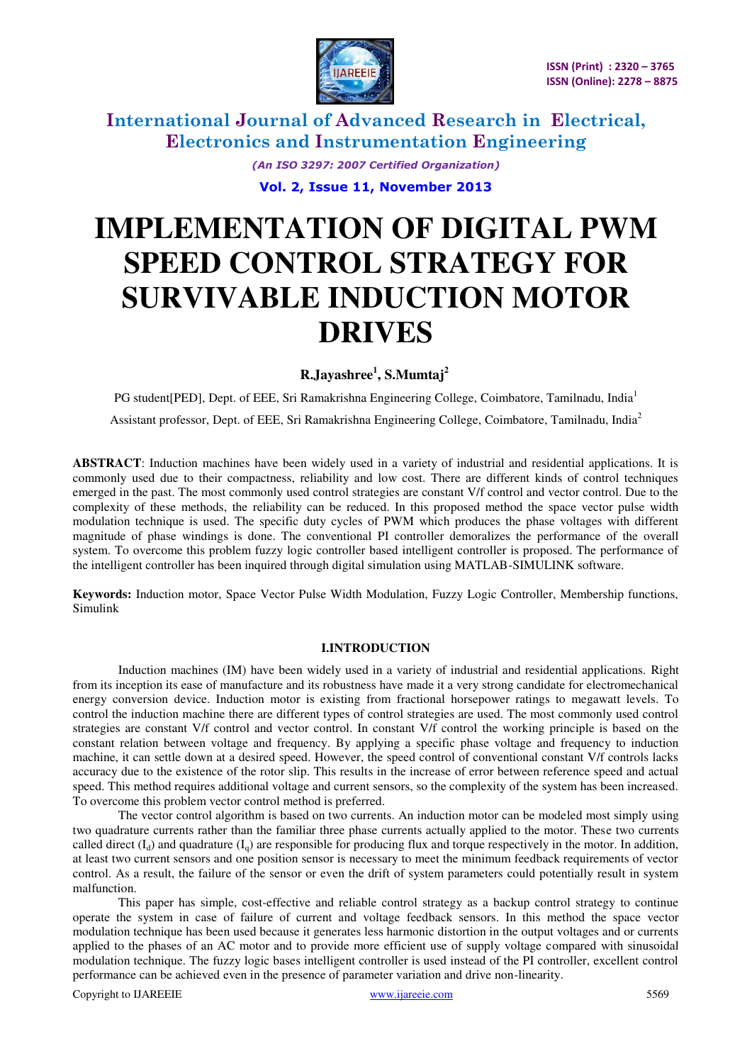

> *(An ISO 3297: 2007 Certified Organization)*  **Vol. 2, Issue 11, November 2013**

# **IMPLEMENTATION OF DIGITAL PWM SPEED CONTROL STRATEGY FOR SURVIVABLE INDUCTION MOTOR DRIVES**

**R.Jayashree<sup>1</sup> , S.Mumtaj<sup>2</sup>**

PG student[PED], Dept. of EEE, Sri Ramakrishna Engineering College, Coimbatore, Tamilnadu, India<sup>1</sup> Assistant professor, Dept. of EEE, Sri Ramakrishna Engineering College, Coimbatore, Tamilnadu, India<sup>2</sup>

**ABSTRACT**: Induction machines have been widely used in a variety of industrial and residential applications. It is commonly used due to their compactness, reliability and low cost. There are different kinds of control techniques emerged in the past. The most commonly used control strategies are constant V/f control and vector control. Due to the complexity of these methods, the reliability can be reduced. In this proposed method the space vector pulse width modulation technique is used. The specific duty cycles of PWM which produces the phase voltages with different magnitude of phase windings is done. The conventional PI controller demoralizes the performance of the overall system. To overcome this problem fuzzy logic controller based intelligent controller is proposed. The performance of the intelligent controller has been inquired through digital simulation using MATLAB-SIMULINK software.

**Keywords:** Induction motor, Space Vector Pulse Width Modulation, Fuzzy Logic Controller, Membership functions, Simulink

#### **I.INTRODUCTION**

Induction machines (IM) have been widely used in a variety of industrial and residential applications. Right from its inception its ease of manufacture and its robustness have made it a very strong candidate for electromechanical energy conversion device. Induction motor is existing from fractional horsepower ratings to megawatt levels. To control the induction machine there are different types of control strategies are used. The most commonly used control strategies are constant V/f control and vector control. In constant V/f control the working principle is based on the constant relation between voltage and frequency. By applying a specific phase voltage and frequency to induction machine, it can settle down at a desired speed. However, the speed control of conventional constant V/f controls lacks accuracy due to the existence of the rotor slip. This results in the increase of error between reference speed and actual speed. This method requires additional voltage and current sensors, so the complexity of the system has been increased. To overcome this problem vector control method is preferred.

The vector control algorithm is based on two currents. An induction motor can be modeled most simply using two quadrature currents rather than the familiar three phase currents actually applied to the motor. These two currents called direct  $(I_d)$  and quadrature  $(I_q)$  are responsible for producing flux and torque respectively in the motor. In addition, at least two current sensors and one position sensor is necessary to meet the minimum feedback requirements of vector control. As a result, the failure of the sensor or even the drift of system parameters could potentially result in system malfunction.

This paper has simple, cost-effective and reliable control strategy as a backup control strategy to continue operate the system in case of failure of current and voltage feedback sensors. In this method the space vector modulation technique has been used because it generates less harmonic distortion in the output voltages and or currents applied to the phases of an AC motor and to provide more efficient use of supply voltage compared with sinusoidal modulation technique. The fuzzy logic bases intelligent controller is used instead of the PI controller, excellent control performance can be achieved even in the presence of parameter variation and drive non-linearity.

Copyright to IJAREEIE www.ijareeie.com 5569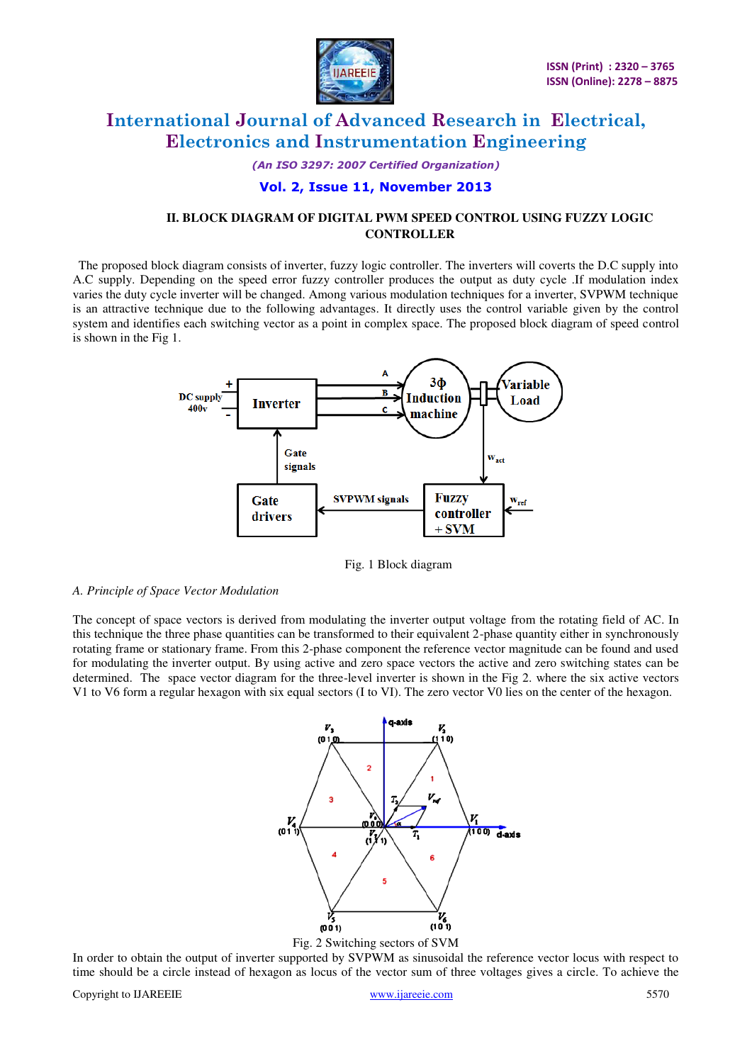

*(An ISO 3297: 2007 Certified Organization)* 

#### **Vol. 2, Issue 11, November 2013**

### **II. BLOCK DIAGRAM OF DIGITAL PWM SPEED CONTROL USING FUZZY LOGIC CONTROLLER**

The proposed block diagram consists of inverter, fuzzy logic controller. The inverters will coverts the D.C supply into A.C supply. Depending on the speed error fuzzy controller produces the output as duty cycle .If modulation index varies the duty cycle inverter will be changed. Among various modulation techniques for a inverter, SVPWM technique is an attractive technique due to the following advantages. It directly uses the control variable given by the control system and identifies each switching vector as a point in complex space. The proposed block diagram of speed control is shown in the Fig 1.



Fig. 1 Block diagram

#### *A. Principle of Space Vector Modulation*

The concept of space vectors is derived from modulating the inverter output voltage from the rotating field of AC. In this technique the three phase quantities can be transformed to their equivalent 2-phase quantity either in synchronously rotating frame or stationary frame. From this 2-phase component the reference vector magnitude can be found and used for modulating the inverter output. By using active and zero space vectors the active and zero switching states can be determined. The space vector diagram for the three-level inverter is shown in the Fig 2. where the six active vectors V1 to V6 form a regular hexagon with six equal sectors (I to VI). The zero vector V0 lies on the center of the hexagon.



Fig. 2 Switching sectors of SVM

In order to obtain the output of inverter supported by SVPWM as sinusoidal the reference vector locus with respect to time should be a circle instead of hexagon as locus of the vector sum of three voltages gives a circle. To achieve the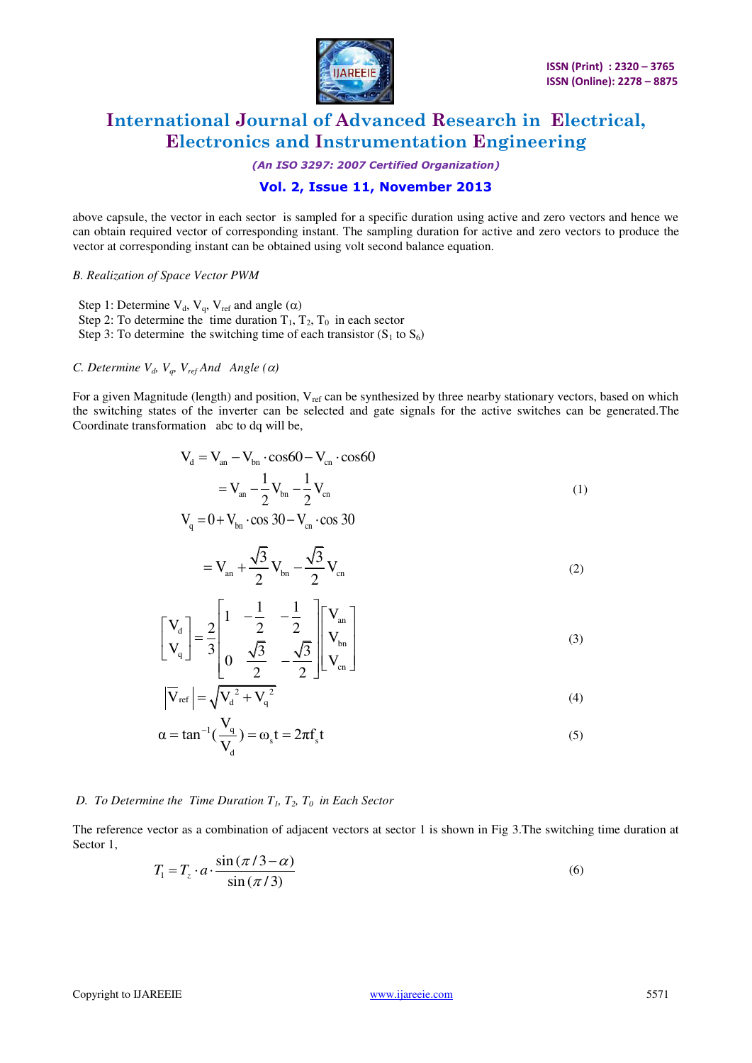

*(An ISO 3297: 2007 Certified Organization)* 

### **Vol. 2, Issue 11, November 2013**

above capsule, the vector in each sector is sampled for a specific duration using active and zero vectors and hence we can obtain required vector of corresponding instant. The sampling duration for active and zero vectors to produce the vector at corresponding instant can be obtained using volt second balance equation.

*B. Realization of Space Vector PWM* 

Step 1: Determine  $V_d$ ,  $V_q$ ,  $V_{ref}$  and angle  $(\alpha)$ Step 2: To determine the time duration  $T_1$ ,  $T_2$ ,  $T_0$  in each sector Step 3: To determine the switching time of each transistor  $(S_1 \text{ to } S_6)$ 

#### *C. Determine*  $V_d$ *,*  $V_g$ *,*  $V_{ref}$  *And Angle (* $\alpha$ *)*

For a given Magnitude (length) and position, V<sub>ref</sub> can be synthesized by three nearby stationary vectors, based on which the switching states of the inverter can be selected and gate signals for the active switches can be generated.The Coordinate transformation abc to dq will be,

$$
V_{d} = V_{an} - V_{bn} \cdot \cos 60 - V_{cn} \cdot \cos 60
$$

$$
= V_{an} - \frac{1}{2} V_{bn} - \frac{1}{2} V_{cn}
$$
(1)

$$
V_q = 0 + V_{bn} \cdot \cos 30 - V_{cn} \cdot \cos 30
$$

$$
= V_{an} + \frac{\sqrt{3}}{2} V_{bn} - \frac{\sqrt{3}}{2} V_{cn}
$$
 (2)

$$
\begin{bmatrix}\nV_{d} \\
V_{q}\n\end{bmatrix} = \frac{2}{3} \begin{bmatrix}\n1 & -\frac{1}{2} & -\frac{1}{2} \\
0 & \frac{\sqrt{3}}{2} & -\frac{\sqrt{3}}{2}\n\end{bmatrix} \begin{bmatrix}\nV_{an} \\
V_{bn} \\
V_{cn}\n\end{bmatrix}
$$
\n(3)

$$
\left|\overline{\mathbf{V}}_{\text{ref}}\right| = \sqrt{\mathbf{V}_d^2 + \mathbf{V}_q^2}
$$
 (4)

$$
\alpha = \tan^{-1}\left(\frac{V_q}{V_d}\right) = \omega_s t = 2\pi f_s t \tag{5}
$$

#### *D. To Determine the Time Duration*  $T_1$ *,*  $T_2$ *,*  $T_0$  *in Each Sector*

The reference vector as a combination of adjacent vectors at sector 1 is shown in Fig 3.The switching time duration at Sector 1,

$$
T_1 = T_z \cdot a \cdot \frac{\sin(\pi/3 - \alpha)}{\sin(\pi/3)}
$$
(6)

I.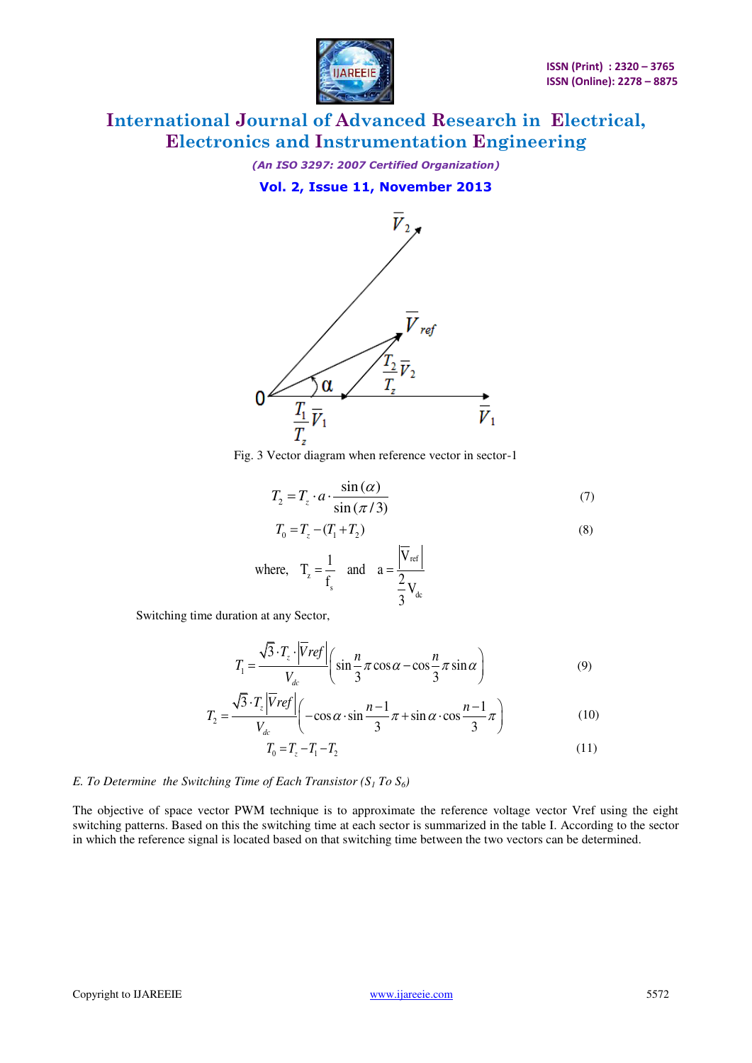

*(An ISO 3297: 2007 Certified Organization)*  **Vol. 2, Issue 11, November 2013** 



Fig. 3 Vector diagram when reference vector in sector-1

$$
T_2 = T_z \cdot a \cdot \frac{\sin{(\alpha)}}{\sin{(\pi/3)}}
$$
(7)

$$
T_0 = T_z - (T_1 + T_2)
$$
\n
$$
1 \qquad |\overline{V}_{ref}|
$$
\n(8)

where, 
$$
T_z = \frac{1}{f_s}
$$
 and  $a = \frac{|V_{ref}|}{\frac{2}{3}V_{dc}}$ 

Switching time duration at any Sector,

$$
T_1 = \frac{\sqrt{3} \cdot T_z \cdot |\overline{V}ref|}{V_{dc}} \left( \sin \frac{n}{3} \pi \cos \alpha - \cos \frac{n}{3} \pi \sin \alpha \right)
$$
 (9)

$$
T_2 = \frac{\sqrt{3} \cdot T_z \left| Vref \right|}{V_{dc}} \left( -\cos \alpha \cdot \sin \frac{n-1}{3} \pi + \sin \alpha \cdot \cos \frac{n-1}{3} \pi \right) \tag{10}
$$

$$
T_0 = T_z - T_1 - T_2 \tag{11}
$$

#### *E. To Determine the Switching Time of Each Transistor*  $(S_1 \text{To } S_6)$

The objective of space vector PWM technique is to approximate the reference voltage vector Vref using the eight switching patterns. Based on this the switching time at each sector is summarized in the table I. According to the sector in which the reference signal is located based on that switching time between the two vectors can be determined.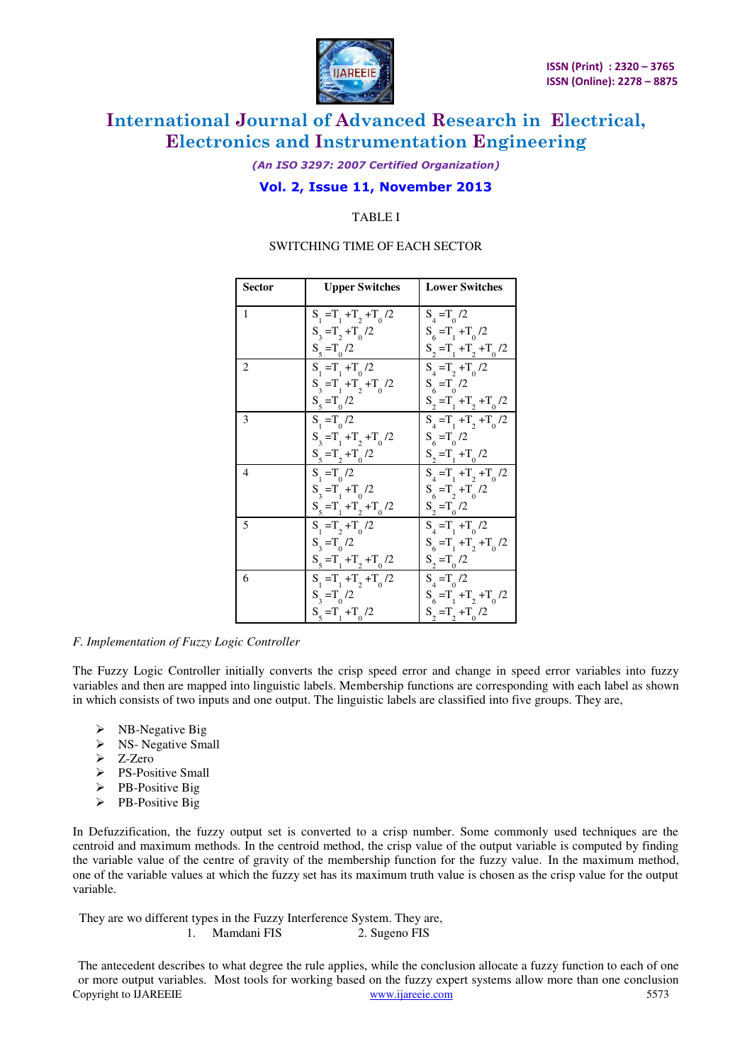

*(An ISO 3297: 2007 Certified Organization)* 

### **Vol. 2, Issue 11, November 2013**

TABLE I

#### SWITCHING TIME OF EACH SECTOR

| <b>Sector</b>  | <b>Upper Switches</b>     | <b>Lower Switches</b>              |  |  |
|----------------|---------------------------|------------------------------------|--|--|
| 1              | $S_1 = T_1 + T_2 + T_0/2$ | $S_{4} = T_{0}/2$                  |  |  |
|                | $S_3 = T_2 + T_0/2$       | $S_{6} = T_{1} + T_{0}$ /2         |  |  |
|                | $S_5 = T_0 / 2$           | $S_2 = T_1 + T_2 + T_0/2$          |  |  |
| 2              | $S_{1} = T_{1} + T_{0}/2$ | $S_4 = T_2 + T_0/2$                |  |  |
|                | $S_3 = T_1 + T_2 + T_0/2$ | $S_6 = T_0 / 2$                    |  |  |
|                | $S_5 = T_0 / 2$           | $S_2 = T_1 + T_2 + T_0/2$          |  |  |
| 3              | $S_1 = T_0/2$             | $S_{4} = T_{1} + T_{2} + T_{0}$ /2 |  |  |
|                | $S_3 = T_1 + T_2 + T_0/2$ | $S_{6} = T_{0}/2$                  |  |  |
|                | $S_5 = T_2 + T_0/2$       | $S_2 = T_1 + T_0/2$                |  |  |
| $\overline{4}$ | $S_1 = T_0/2$             | $S_{4} = T_{1} + T_{2} + T_{0}$ /2 |  |  |
|                | $S_3 = T_1 + T_0/2$       | $S_{6} = T_{2} + T_{0} / 2$        |  |  |
|                | $S_5 = T_1 + T_2 + T_0/2$ | $S_2 = T_0/2$                      |  |  |
| 5              | $S_1 = T_2 + T_0/2$       | $S_{A} = T_{1} + T_{0} / 2$        |  |  |
|                | $S_3 = T_0/2$             | $S_{6} = T_{1} + T_{2} + T_{0}$ /2 |  |  |
|                | $S_5 = T_1 + T_2 + T_0/2$ | $S_2 = T_0/2$                      |  |  |
| 6              | $S_1 = T_1 + T_2 + T_0/2$ | $S_4 = T_0/2$                      |  |  |
|                | $S_3 = T_0/2$             | $S_{6} = T_{1} + T_{2} + T_{0}$ /2 |  |  |
|                | $S_5 = T_1 + T_0/2$       | $S_2 = T_2 + T_0/2$                |  |  |

#### *F. Implementation of Fuzzy Logic Controller*

The Fuzzy Logic Controller initially converts the crisp speed error and change in speed error variables into fuzzy variables and then are mapped into linguistic labels. Membership functions are corresponding with each label as shown in which consists of two inputs and one output. The linguistic labels are classified into five groups. They are,

- NB-Negative Big
- $\triangleright$  NS- Negative Small
- $\geq$  Z-Zero
- $\triangleright$  PS-Positive Small
- $\triangleright$  PB-Positive Big
- $\triangleright$  PB-Positive Big

In Defuzzification, the fuzzy output set is converted to a crisp number. Some commonly used techniques are the centroid and maximum methods. In the centroid method, the crisp value of the output variable is computed by finding the variable value of the centre of gravity of the membership function for the fuzzy value. In the maximum method, one of the variable values at which the fuzzy set has its maximum truth value is chosen as the crisp value for the output variable.

 They are wo different types in the Fuzzy Interference System. They are, 1. Mamdani FIS 2. Sugeno FIS

Copyright to IJAREEIE www.ijareeie.com 5573 The antecedent describes to what degree the rule applies, while the conclusion allocate a fuzzy function to each of one or more output variables. Most tools for working based on the fuzzy expert systems allow more than one conclusion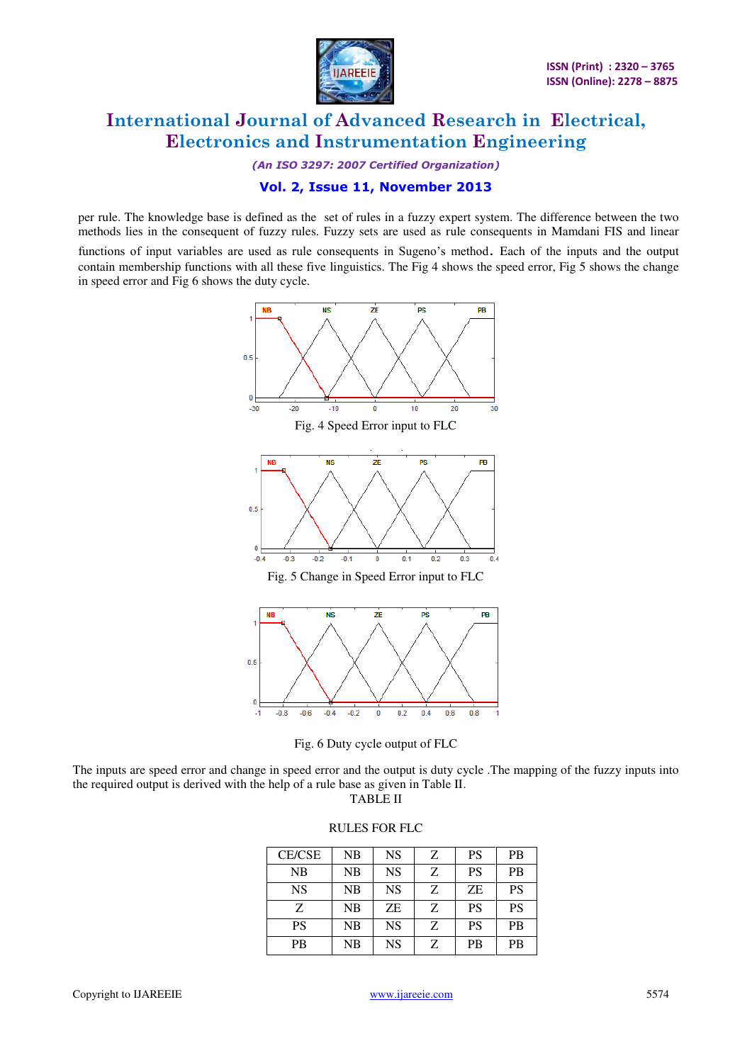

*(An ISO 3297: 2007 Certified Organization)* 

### **Vol. 2, Issue 11, November 2013**

per rule. The knowledge base is defined as the set of rules in a fuzzy expert system. The difference between the two methods lies in the consequent of fuzzy rules. Fuzzy sets are used as rule consequents in Mamdani FIS and linear

functions of input variables are used as rule consequents in Sugeno's method. Each of the inputs and the output contain membership functions with all these five linguistics. The Fig 4 shows the speed error, Fig 5 shows the change in speed error and Fig 6 shows the duty cycle.





The inputs are speed error and change in speed error and the output is duty cycle .The mapping of the fuzzy inputs into the required output is derived with the help of a rule base as given in Table II.

TABLE II

#### RULES FOR FLC

| <b>CE/CSE</b> | NB | <b>NS</b> | Z. | <b>PS</b> | <b>PB</b> |
|---------------|----|-----------|----|-----------|-----------|
| <b>NB</b>     | NB | <b>NS</b> | Z  | <b>PS</b> | <b>PB</b> |
| <b>NS</b>     | NB | <b>NS</b> | Z  | <b>ZE</b> | <b>PS</b> |
| Z             | NB | <b>ZE</b> | Z  | <b>PS</b> | <b>PS</b> |
| <b>PS</b>     | NB | <b>NS</b> | Z  | <b>PS</b> | <b>PB</b> |
| <b>PB</b>     | NB | <b>NS</b> | Z  | <b>PB</b> | <b>PB</b> |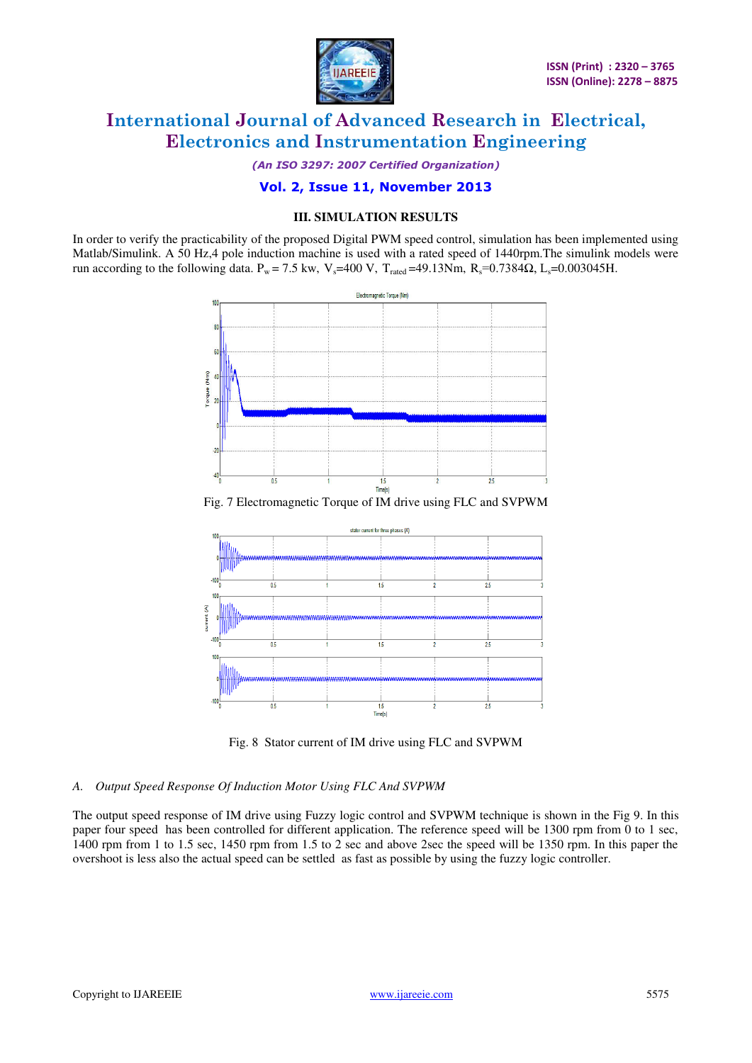

*(An ISO 3297: 2007 Certified Organization)* 

#### **Vol. 2, Issue 11, November 2013**

#### **III. SIMULATION RESULTS**

In order to verify the practicability of the proposed Digital PWM speed control, simulation has been implemented using Matlab/Simulink. A 50 Hz,4 pole induction machine is used with a rated speed of 1440rpm.The simulink models were run according to the following data.  $P_w = 7.5$  kw, V<sub>s</sub>=400 V, T<sub>rated</sub> =49.13Nm, R<sub>s</sub>=0.7384 $\Omega$ , L<sub>s</sub>=0.003045H.



Fig. 7 Electromagnetic Torque of IM drive using FLC and SVPWM





#### *A. Output Speed Response Of Induction Motor Using FLC And SVPWM*

The output speed response of IM drive using Fuzzy logic control and SVPWM technique is shown in the Fig 9. In this paper four speed has been controlled for different application. The reference speed will be 1300 rpm from 0 to 1 sec, 1400 rpm from 1 to 1.5 sec, 1450 rpm from 1.5 to 2 sec and above 2sec the speed will be 1350 rpm. In this paper the overshoot is less also the actual speed can be settled as fast as possible by using the fuzzy logic controller.